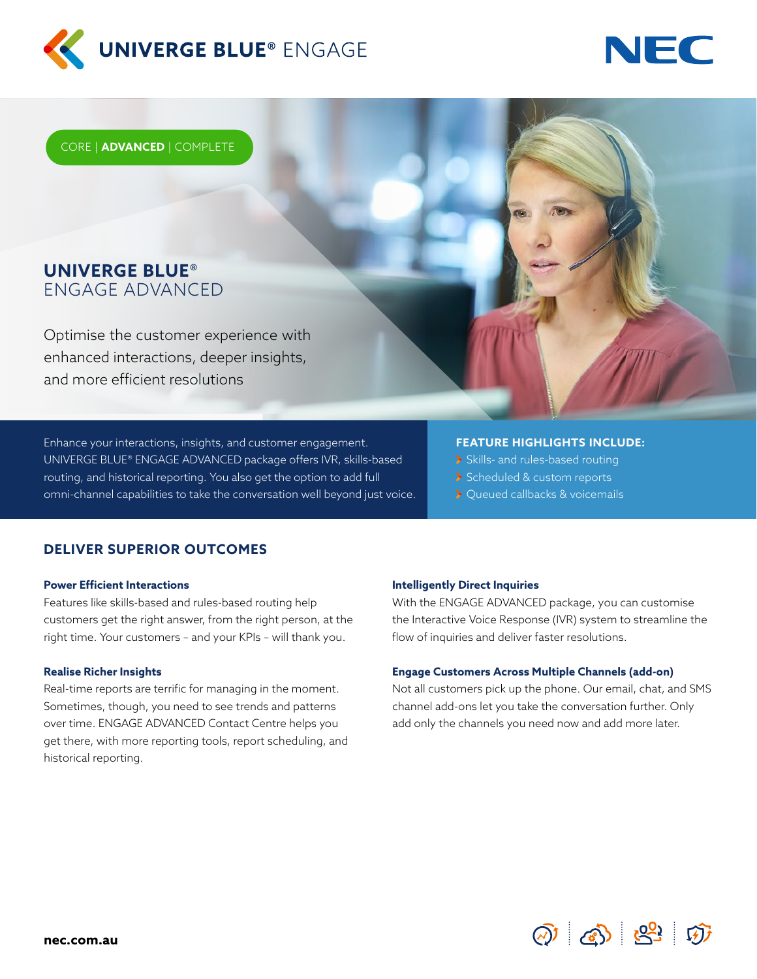



CORE | **ADVANCED** | COMPLETE

## **UNIVERGE BLUE®** ENGAGE ADVANCED

Optimise the customer experience with enhanced interactions, deeper insights, and more efficient resolutions

Enhance your interactions, insights, and customer engagement. UNIVERGE BLUE® ENGAGE ADVANCED package offers IVR, skills-based routing, and historical reporting. You also get the option to add full omni-channel capabilities to take the conversation well beyond just voice.

#### **FEATURE HIGHLIGHTS INCLUDE:**

- Skills- and rules-based routing
- Scheduled & custom reports
- > Queued callbacks & voicemails

### **DELIVER SUPERIOR OUTCOMES**

#### **Power Efficient Interactions**

Features like skills-based and rules-based routing help customers get the right answer, from the right person, at the right time. Your customers – and your KPIs – will thank you.

#### **Realise Richer Insights**

Real-time reports are terrific for managing in the moment. Sometimes, though, you need to see trends and patterns over time. ENGAGE ADVANCED Contact Centre helps you get there, with more reporting tools, report scheduling, and historical reporting.

#### **Intelligently Direct Inquiries**

With the ENGAGE ADVANCED package, you can customise the Interactive Voice Response (IVR) system to streamline the flow of inquiries and deliver faster resolutions.

#### **Engage Customers Across Multiple Channels (add-on)**

Not all customers pick up the phone. Our email, chat, and SMS channel add-ons let you take the conversation further. Only add only the channels you need now and add more later.